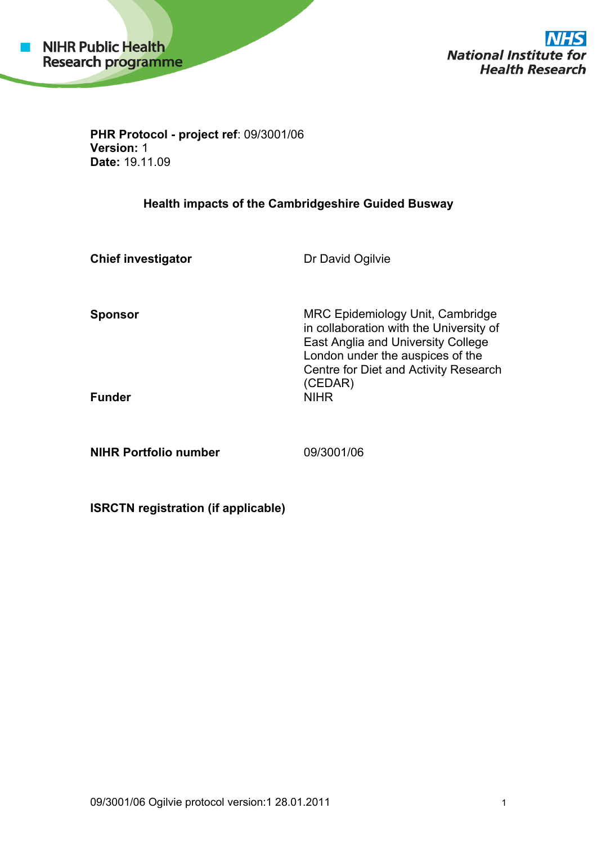

**National Institute for Health Research** 

**PHR Protocol - project ref**: 09/3001/06 **Version:** 1 **Date:** 19.11.09

## **Health impacts of the Cambridgeshire Guided Busway**

**Chief investigator Dr David Ogilvie Sponsor** MRC Epidemiology Unit, Cambridge in collaboration with the University of East Anglia and University College London under the auspices of the Centre for Diet and Activity Research (CEDAR) **Funder** 

**NIHR Portfolio number** 09/3001/06

**ISRCTN registration (if applicable)**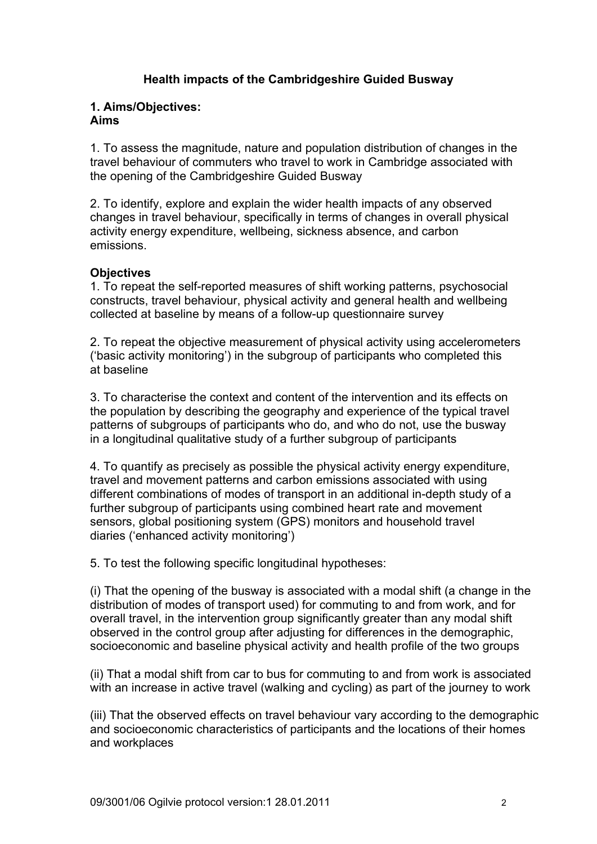## **Health impacts of the Cambridgeshire Guided Busway**

#### **1. Aims/Objectives: Aims**

1. To assess the magnitude, nature and population distribution of changes in the travel behaviour of commuters who travel to work in Cambridge associated with the opening of the Cambridgeshire Guided Busway

2. To identify, explore and explain the wider health impacts of any observed changes in travel behaviour, specifically in terms of changes in overall physical activity energy expenditure, wellbeing, sickness absence, and carbon emissions.

## **Objectives**

1. To repeat the self-reported measures of shift working patterns, psychosocial constructs, travel behaviour, physical activity and general health and wellbeing collected at baseline by means of a follow-up questionnaire survey

2. To repeat the objective measurement of physical activity using accelerometers ('basic activity monitoring') in the subgroup of participants who completed this at baseline

3. To characterise the context and content of the intervention and its effects on the population by describing the geography and experience of the typical travel patterns of subgroups of participants who do, and who do not, use the busway in a longitudinal qualitative study of a further subgroup of participants

4. To quantify as precisely as possible the physical activity energy expenditure, travel and movement patterns and carbon emissions associated with using different combinations of modes of transport in an additional in-depth study of a further subgroup of participants using combined heart rate and movement sensors, global positioning system (GPS) monitors and household travel diaries ('enhanced activity monitoring')

5. To test the following specific longitudinal hypotheses:

(i) That the opening of the busway is associated with a modal shift (a change in the distribution of modes of transport used) for commuting to and from work, and for overall travel, in the intervention group significantly greater than any modal shift observed in the control group after adjusting for differences in the demographic, socioeconomic and baseline physical activity and health profile of the two groups

(ii) That a modal shift from car to bus for commuting to and from work is associated with an increase in active travel (walking and cycling) as part of the journey to work

(iii) That the observed effects on travel behaviour vary according to the demographic and socioeconomic characteristics of participants and the locations of their homes and workplaces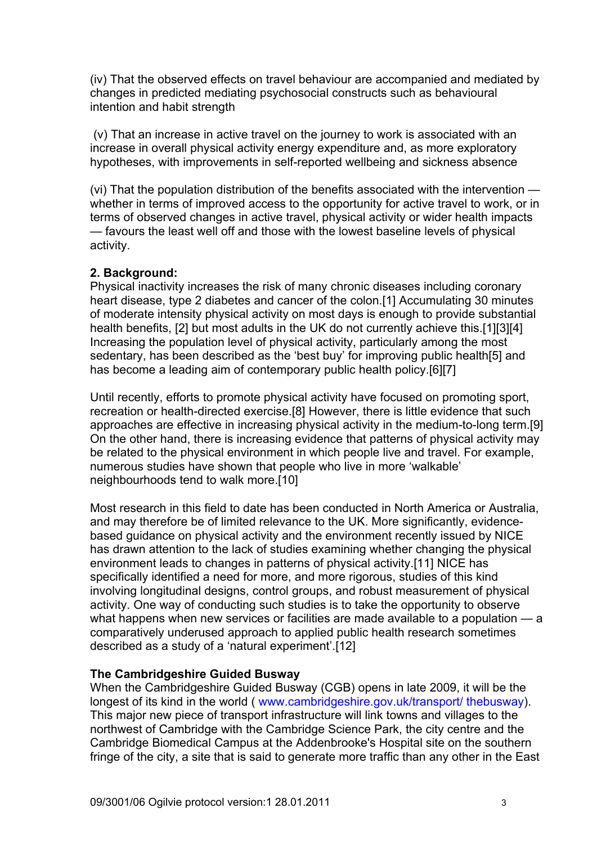(iv) That the observed effects on travel behaviour are accompanied and mediated by changes in predicted mediating psychosocial constructs such as behavioural intention and habit strength

 (v) That an increase in active travel on the journey to work is associated with an increase in overall physical activity energy expenditure and, as more exploratory hypotheses, with improvements in self-reported wellbeing and sickness absence

(vi) That the population distribution of the benefits associated with the intervention whether in terms of improved access to the opportunity for active travel to work, or in terms of observed changes in active travel, physical activity or wider health impacts — favours the least well off and those with the lowest baseline levels of physical activity.

### **2. Background:**

Physical inactivity increases the risk of many chronic diseases including coronary heart disease, type 2 diabetes and cancer of the colon.[1] Accumulating 30 minutes of moderate intensity physical activity on most days is enough to provide substantial health benefits, [2] but most adults in the UK do not currently achieve this.[1][3][4] Increasing the population level of physical activity, particularly among the most sedentary, has been described as the 'best buy' for improving public health[5] and has become a leading aim of contemporary public health policy.[6][7]

Until recently, efforts to promote physical activity have focused on promoting sport, recreation or health-directed exercise.[8] However, there is little evidence that such approaches are effective in increasing physical activity in the medium-to-long term.[9] On the other hand, there is increasing evidence that patterns of physical activity may be related to the physical environment in which people live and travel. For example, numerous studies have shown that people who live in more 'walkable' neighbourhoods tend to walk more.[10]

Most research in this field to date has been conducted in North America or Australia, and may therefore be of limited relevance to the UK. More significantly, evidencebased guidance on physical activity and the environment recently issued by NICE has drawn attention to the lack of studies examining whether changing the physical environment leads to changes in patterns of physical activity.[11] NICE has specifically identified a need for more, and more rigorous, studies of this kind involving longitudinal designs, control groups, and robust measurement of physical activity. One way of conducting such studies is to take the opportunity to observe what happens when new services or facilities are made available to a population – a comparatively underused approach to applied public health research sometimes described as a study of a 'natural experiment'.[12]

#### **The Cambridgeshire Guided Busway**

When the Cambridgeshire Guided Busway (CGB) opens in late 2009, it will be the longest of its kind in the world ( www.cambridgeshire.gov.uk/transport/ thebusway). This major new piece of transport infrastructure will link towns and villages to the northwest of Cambridge with the Cambridge Science Park, the city centre and the Cambridge Biomedical Campus at the Addenbrooke's Hospital site on the southern fringe of the city, a site that is said to generate more traffic than any other in the East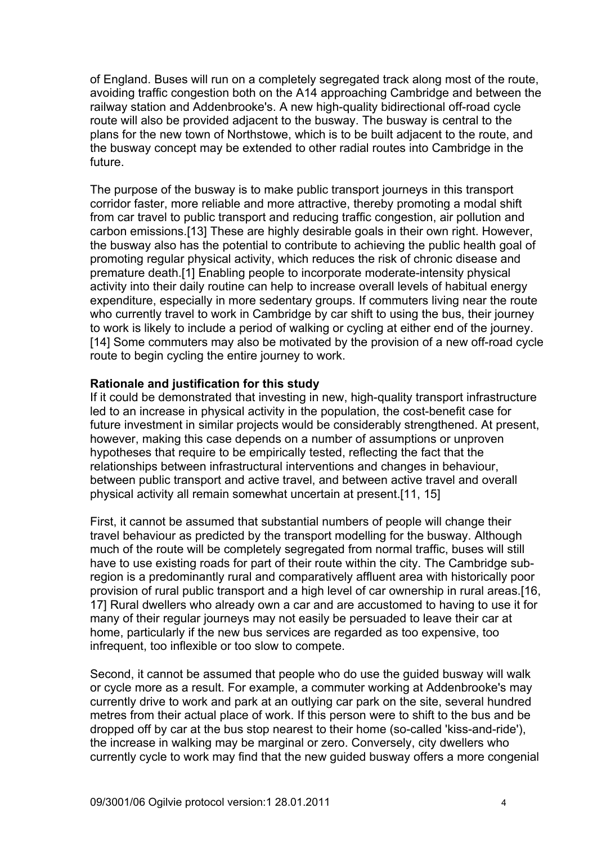of England. Buses will run on a completely segregated track along most of the route, avoiding traffic congestion both on the A14 approaching Cambridge and between the railway station and Addenbrooke's. A new high-quality bidirectional off-road cycle route will also be provided adjacent to the busway. The busway is central to the plans for the new town of Northstowe, which is to be built adjacent to the route, and the busway concept may be extended to other radial routes into Cambridge in the future.

The purpose of the busway is to make public transport journeys in this transport corridor faster, more reliable and more attractive, thereby promoting a modal shift from car travel to public transport and reducing traffic congestion, air pollution and carbon emissions.[13] These are highly desirable goals in their own right. However, the busway also has the potential to contribute to achieving the public health goal of promoting regular physical activity, which reduces the risk of chronic disease and premature death.[1] Enabling people to incorporate moderate-intensity physical activity into their daily routine can help to increase overall levels of habitual energy expenditure, especially in more sedentary groups. If commuters living near the route who currently travel to work in Cambridge by car shift to using the bus, their journey to work is likely to include a period of walking or cycling at either end of the journey. [14] Some commuters may also be motivated by the provision of a new off-road cycle route to begin cycling the entire journey to work.

#### **Rationale and justification for this study**

If it could be demonstrated that investing in new, high-quality transport infrastructure led to an increase in physical activity in the population, the cost-benefit case for future investment in similar projects would be considerably strengthened. At present, however, making this case depends on a number of assumptions or unproven hypotheses that require to be empirically tested, reflecting the fact that the relationships between infrastructural interventions and changes in behaviour, between public transport and active travel, and between active travel and overall physical activity all remain somewhat uncertain at present.[11, 15]

First, it cannot be assumed that substantial numbers of people will change their travel behaviour as predicted by the transport modelling for the busway. Although much of the route will be completely segregated from normal traffic, buses will still have to use existing roads for part of their route within the city. The Cambridge subregion is a predominantly rural and comparatively affluent area with historically poor provision of rural public transport and a high level of car ownership in rural areas.[16, 17] Rural dwellers who already own a car and are accustomed to having to use it for many of their regular journeys may not easily be persuaded to leave their car at home, particularly if the new bus services are regarded as too expensive, too infrequent, too inflexible or too slow to compete.

Second, it cannot be assumed that people who do use the guided busway will walk or cycle more as a result. For example, a commuter working at Addenbrooke's may currently drive to work and park at an outlying car park on the site, several hundred metres from their actual place of work. If this person were to shift to the bus and be dropped off by car at the bus stop nearest to their home (so-called 'kiss-and-ride'), the increase in walking may be marginal or zero. Conversely, city dwellers who currently cycle to work may find that the new guided busway offers a more congenial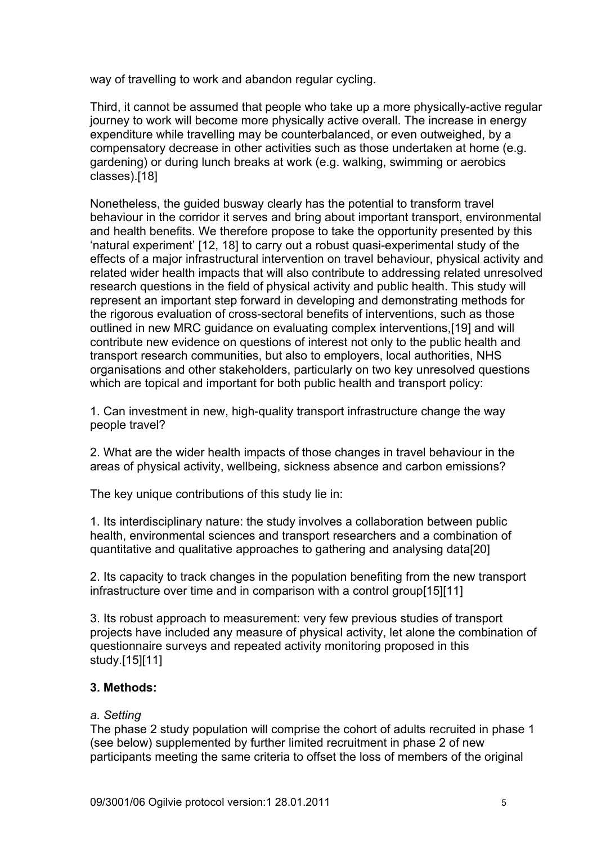way of travelling to work and abandon regular cycling.

Third, it cannot be assumed that people who take up a more physically-active regular journey to work will become more physically active overall. The increase in energy expenditure while travelling may be counterbalanced, or even outweighed, by a compensatory decrease in other activities such as those undertaken at home (e.g. gardening) or during lunch breaks at work (e.g. walking, swimming or aerobics classes).[18]

Nonetheless, the guided busway clearly has the potential to transform travel behaviour in the corridor it serves and bring about important transport, environmental and health benefits. We therefore propose to take the opportunity presented by this 'natural experiment' [12, 18] to carry out a robust quasi-experimental study of the effects of a major infrastructural intervention on travel behaviour, physical activity and related wider health impacts that will also contribute to addressing related unresolved research questions in the field of physical activity and public health. This study will represent an important step forward in developing and demonstrating methods for the rigorous evaluation of cross-sectoral benefits of interventions, such as those outlined in new MRC guidance on evaluating complex interventions,[19] and will contribute new evidence on questions of interest not only to the public health and transport research communities, but also to employers, local authorities, NHS organisations and other stakeholders, particularly on two key unresolved questions which are topical and important for both public health and transport policy:

1. Can investment in new, high-quality transport infrastructure change the way people travel?

2. What are the wider health impacts of those changes in travel behaviour in the areas of physical activity, wellbeing, sickness absence and carbon emissions?

The key unique contributions of this study lie in:

1. Its interdisciplinary nature: the study involves a collaboration between public health, environmental sciences and transport researchers and a combination of quantitative and qualitative approaches to gathering and analysing data[20]

2. Its capacity to track changes in the population benefiting from the new transport infrastructure over time and in comparison with a control group[15][11]

3. Its robust approach to measurement: very few previous studies of transport projects have included any measure of physical activity, let alone the combination of questionnaire surveys and repeated activity monitoring proposed in this study.[15][11]

### **3. Methods:**

### *a. Setting*

The phase 2 study population will comprise the cohort of adults recruited in phase 1 (see below) supplemented by further limited recruitment in phase 2 of new participants meeting the same criteria to offset the loss of members of the original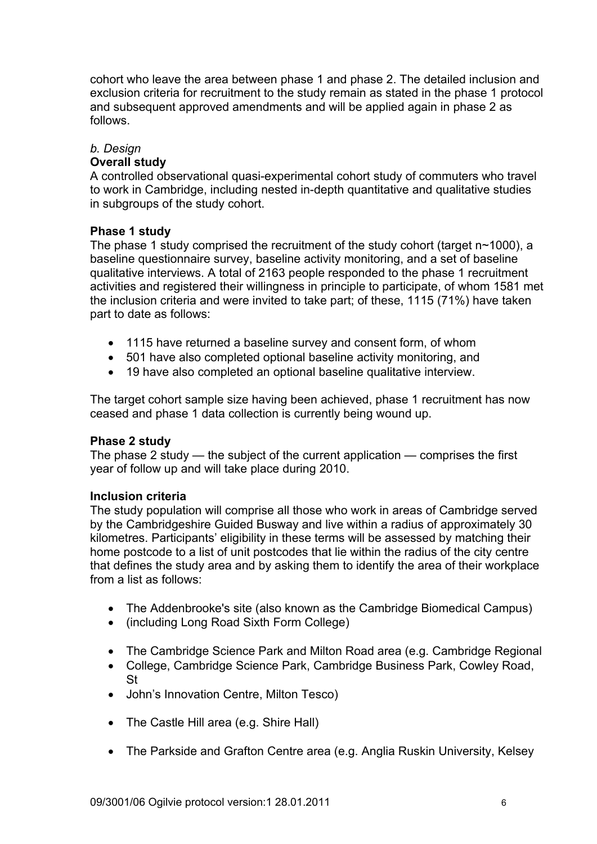cohort who leave the area between phase 1 and phase 2. The detailed inclusion and exclusion criteria for recruitment to the study remain as stated in the phase 1 protocol and subsequent approved amendments and will be applied again in phase 2 as follows.

# *b. Design*

## **Overall study**

A controlled observational quasi-experimental cohort study of commuters who travel to work in Cambridge, including nested in-depth quantitative and qualitative studies in subgroups of the study cohort.

## **Phase 1 study**

The phase 1 study comprised the recruitment of the study cohort (target n~1000), a baseline questionnaire survey, baseline activity monitoring, and a set of baseline qualitative interviews. A total of 2163 people responded to the phase 1 recruitment activities and registered their willingness in principle to participate, of whom 1581 met the inclusion criteria and were invited to take part; of these, 1115 (71%) have taken part to date as follows:

- 1115 have returned a baseline survey and consent form, of whom
- 501 have also completed optional baseline activity monitoring, and
- 19 have also completed an optional baseline qualitative interview.

The target cohort sample size having been achieved, phase 1 recruitment has now ceased and phase 1 data collection is currently being wound up.

### **Phase 2 study**

The phase 2 study — the subject of the current application — comprises the first year of follow up and will take place during 2010.

### **Inclusion criteria**

The study population will comprise all those who work in areas of Cambridge served by the Cambridgeshire Guided Busway and live within a radius of approximately 30 kilometres. Participants' eligibility in these terms will be assessed by matching their home postcode to a list of unit postcodes that lie within the radius of the city centre that defines the study area and by asking them to identify the area of their workplace from a list as follows:

- The Addenbrooke's site (also known as the Cambridge Biomedical Campus)
- (including Long Road Sixth Form College)
- The Cambridge Science Park and Milton Road area (e.g. Cambridge Regional
- College, Cambridge Science Park, Cambridge Business Park, Cowley Road, St
- John's Innovation Centre, Milton Tesco)
- The Castle Hill area (e.g. Shire Hall)
- The Parkside and Grafton Centre area (e.g. Anglia Ruskin University, Kelsey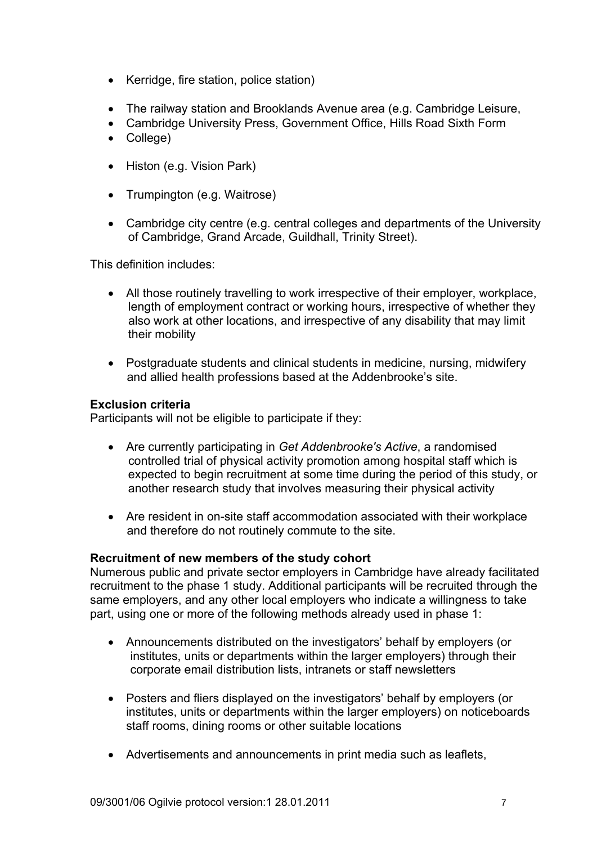- Kerridge, fire station, police station)
- The railway station and Brooklands Avenue area (e.g. Cambridge Leisure,
- Cambridge University Press, Government Office, Hills Road Sixth Form
- College)
- Histon (e.g. Vision Park)
- Trumpington (e.g. Waitrose)
- Cambridge city centre (e.g. central colleges and departments of the University of Cambridge, Grand Arcade, Guildhall, Trinity Street).

This definition includes:

- All those routinely travelling to work irrespective of their employer, workplace, length of employment contract or working hours, irrespective of whether they also work at other locations, and irrespective of any disability that may limit their mobility
- Postgraduate students and clinical students in medicine, nursing, midwifery and allied health professions based at the Addenbrooke's site.

### **Exclusion criteria**

Participants will not be eligible to participate if they:

- Are currently participating in *Get Addenbrooke's Active*, a randomised controlled trial of physical activity promotion among hospital staff which is expected to begin recruitment at some time during the period of this study, or another research study that involves measuring their physical activity
- Are resident in on-site staff accommodation associated with their workplace and therefore do not routinely commute to the site.

### **Recruitment of new members of the study cohort**

Numerous public and private sector employers in Cambridge have already facilitated recruitment to the phase 1 study. Additional participants will be recruited through the same employers, and any other local employers who indicate a willingness to take part, using one or more of the following methods already used in phase 1:

- Announcements distributed on the investigators' behalf by employers (or institutes, units or departments within the larger employers) through their corporate email distribution lists, intranets or staff newsletters
- Posters and fliers displayed on the investigators' behalf by employers (or institutes, units or departments within the larger employers) on noticeboards staff rooms, dining rooms or other suitable locations
- Advertisements and announcements in print media such as leaflets,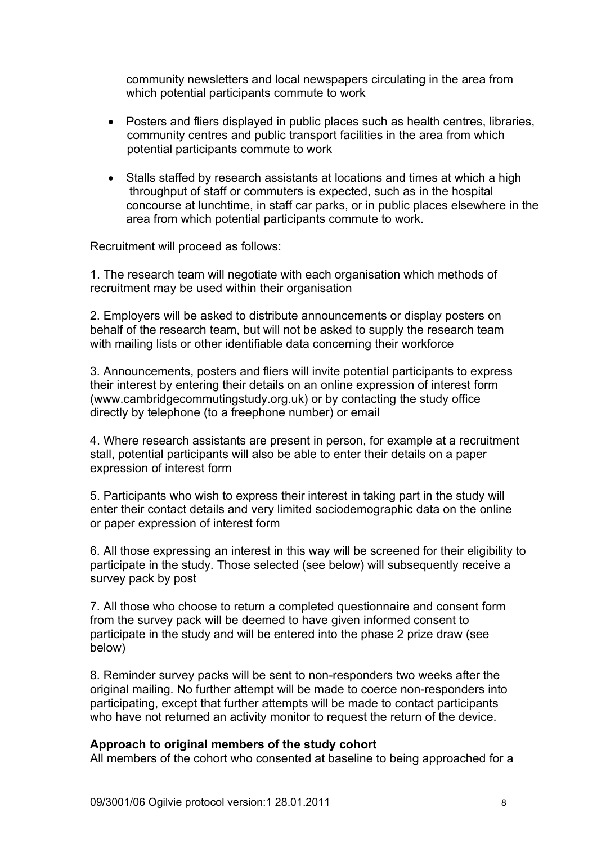community newsletters and local newspapers circulating in the area from which potential participants commute to work

- Posters and fliers displayed in public places such as health centres, libraries, community centres and public transport facilities in the area from which potential participants commute to work
- Stalls staffed by research assistants at locations and times at which a high throughput of staff or commuters is expected, such as in the hospital concourse at lunchtime, in staff car parks, or in public places elsewhere in the area from which potential participants commute to work.

Recruitment will proceed as follows:

1. The research team will negotiate with each organisation which methods of recruitment may be used within their organisation

2. Employers will be asked to distribute announcements or display posters on behalf of the research team, but will not be asked to supply the research team with mailing lists or other identifiable data concerning their workforce

3. Announcements, posters and fliers will invite potential participants to express their interest by entering their details on an online expression of interest form (www.cambridgecommutingstudy.org.uk) or by contacting the study office directly by telephone (to a freephone number) or email

4. Where research assistants are present in person, for example at a recruitment stall, potential participants will also be able to enter their details on a paper expression of interest form

5. Participants who wish to express their interest in taking part in the study will enter their contact details and very limited sociodemographic data on the online or paper expression of interest form

6. All those expressing an interest in this way will be screened for their eligibility to participate in the study. Those selected (see below) will subsequently receive a survey pack by post

7. All those who choose to return a completed questionnaire and consent form from the survey pack will be deemed to have given informed consent to participate in the study and will be entered into the phase 2 prize draw (see below)

8. Reminder survey packs will be sent to non-responders two weeks after the original mailing. No further attempt will be made to coerce non-responders into participating, except that further attempts will be made to contact participants who have not returned an activity monitor to request the return of the device.

#### **Approach to original members of the study cohort**

All members of the cohort who consented at baseline to being approached for a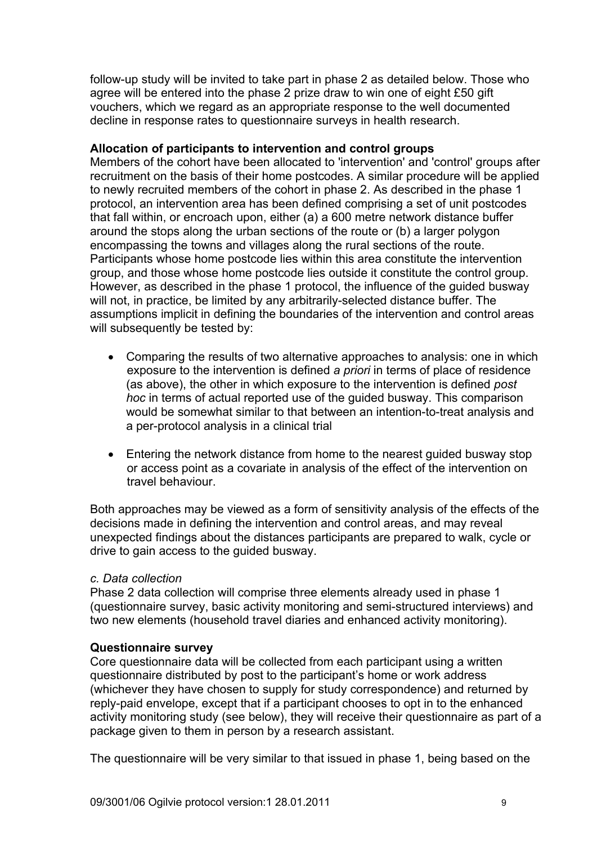follow-up study will be invited to take part in phase 2 as detailed below. Those who agree will be entered into the phase 2 prize draw to win one of eight £50 gift vouchers, which we regard as an appropriate response to the well documented decline in response rates to questionnaire surveys in health research.

#### **Allocation of participants to intervention and control groups**

Members of the cohort have been allocated to 'intervention' and 'control' groups after recruitment on the basis of their home postcodes. A similar procedure will be applied to newly recruited members of the cohort in phase 2. As described in the phase 1 protocol, an intervention area has been defined comprising a set of unit postcodes that fall within, or encroach upon, either (a) a 600 metre network distance buffer around the stops along the urban sections of the route or (b) a larger polygon encompassing the towns and villages along the rural sections of the route. Participants whose home postcode lies within this area constitute the intervention group, and those whose home postcode lies outside it constitute the control group. However, as described in the phase 1 protocol, the influence of the guided busway will not, in practice, be limited by any arbitrarily-selected distance buffer. The assumptions implicit in defining the boundaries of the intervention and control areas will subsequently be tested by:

- Comparing the results of two alternative approaches to analysis: one in which exposure to the intervention is defined *a priori* in terms of place of residence (as above), the other in which exposure to the intervention is defined *post hoc* in terms of actual reported use of the guided busway. This comparison would be somewhat similar to that between an intention-to-treat analysis and a per-protocol analysis in a clinical trial
- Entering the network distance from home to the nearest guided busway stop or access point as a covariate in analysis of the effect of the intervention on travel behaviour.

Both approaches may be viewed as a form of sensitivity analysis of the effects of the decisions made in defining the intervention and control areas, and may reveal unexpected findings about the distances participants are prepared to walk, cycle or drive to gain access to the guided busway.

### *c. Data collection*

Phase 2 data collection will comprise three elements already used in phase 1 (questionnaire survey, basic activity monitoring and semi-structured interviews) and two new elements (household travel diaries and enhanced activity monitoring).

### **Questionnaire survey**

Core questionnaire data will be collected from each participant using a written questionnaire distributed by post to the participant's home or work address (whichever they have chosen to supply for study correspondence) and returned by reply-paid envelope, except that if a participant chooses to opt in to the enhanced activity monitoring study (see below), they will receive their questionnaire as part of a package given to them in person by a research assistant.

The questionnaire will be very similar to that issued in phase 1, being based on the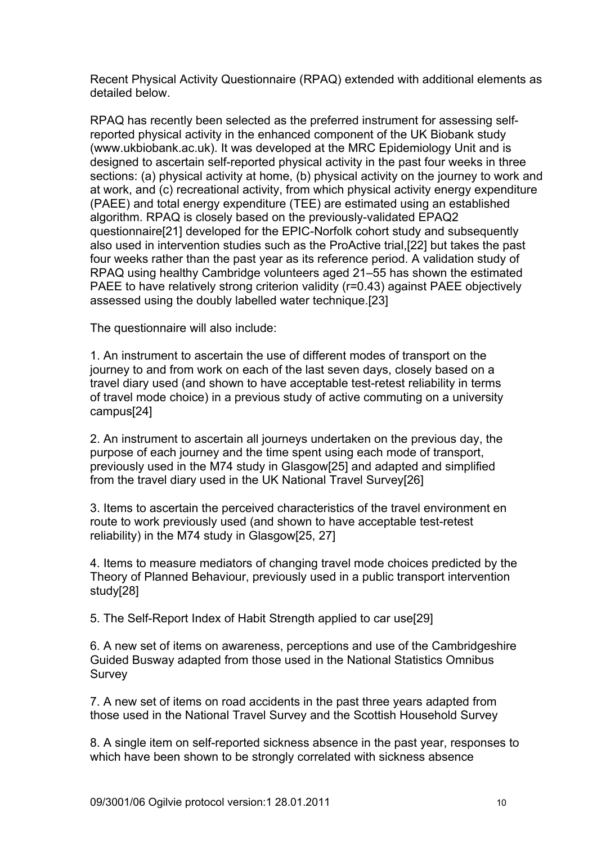Recent Physical Activity Questionnaire (RPAQ) extended with additional elements as detailed below.

RPAQ has recently been selected as the preferred instrument for assessing selfreported physical activity in the enhanced component of the UK Biobank study (www.ukbiobank.ac.uk). It was developed at the MRC Epidemiology Unit and is designed to ascertain self-reported physical activity in the past four weeks in three sections: (a) physical activity at home, (b) physical activity on the journey to work and at work, and (c) recreational activity, from which physical activity energy expenditure (PAEE) and total energy expenditure (TEE) are estimated using an established algorithm. RPAQ is closely based on the previously-validated EPAQ2 questionnaire[21] developed for the EPIC-Norfolk cohort study and subsequently also used in intervention studies such as the ProActive trial,[22] but takes the past four weeks rather than the past year as its reference period. A validation study of RPAQ using healthy Cambridge volunteers aged 21–55 has shown the estimated PAEE to have relatively strong criterion validity (r=0.43) against PAEE objectively assessed using the doubly labelled water technique.[23]

The questionnaire will also include:

1. An instrument to ascertain the use of different modes of transport on the journey to and from work on each of the last seven days, closely based on a travel diary used (and shown to have acceptable test-retest reliability in terms of travel mode choice) in a previous study of active commuting on a university campus[24]

2. An instrument to ascertain all journeys undertaken on the previous day, the purpose of each journey and the time spent using each mode of transport, previously used in the M74 study in Glasgow[25] and adapted and simplified from the travel diary used in the UK National Travel Survey[26]

3. Items to ascertain the perceived characteristics of the travel environment en route to work previously used (and shown to have acceptable test-retest reliability) in the M74 study in Glasgow[25, 27]

4. Items to measure mediators of changing travel mode choices predicted by the Theory of Planned Behaviour, previously used in a public transport intervention study[28]

5. The Self-Report Index of Habit Strength applied to car use[29]

6. A new set of items on awareness, perceptions and use of the Cambridgeshire Guided Busway adapted from those used in the National Statistics Omnibus Survey

7. A new set of items on road accidents in the past three years adapted from those used in the National Travel Survey and the Scottish Household Survey

8. A single item on self-reported sickness absence in the past year, responses to which have been shown to be strongly correlated with sickness absence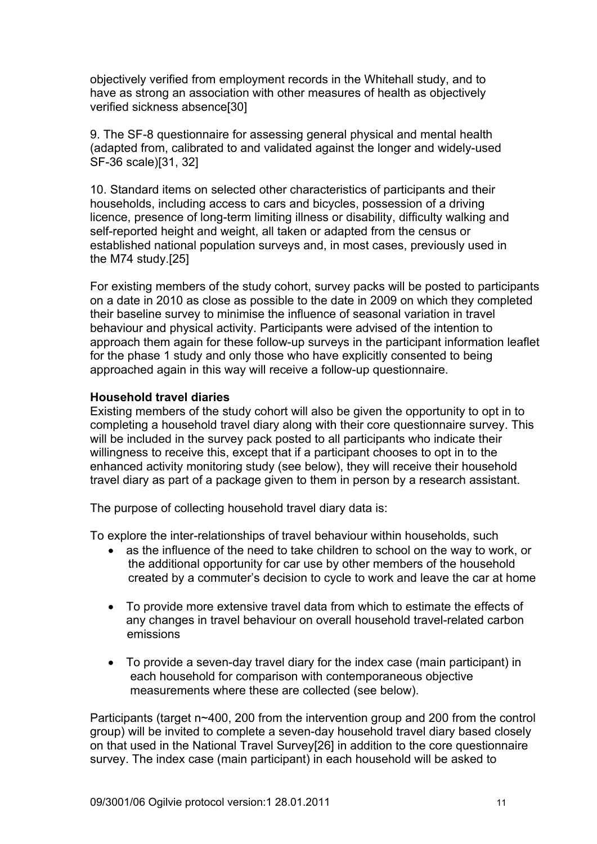objectively verified from employment records in the Whitehall study, and to have as strong an association with other measures of health as objectively verified sickness absence[30]

9. The SF-8 questionnaire for assessing general physical and mental health (adapted from, calibrated to and validated against the longer and widely-used SF-36 scale)[31, 32]

10. Standard items on selected other characteristics of participants and their households, including access to cars and bicycles, possession of a driving licence, presence of long-term limiting illness or disability, difficulty walking and self-reported height and weight, all taken or adapted from the census or established national population surveys and, in most cases, previously used in the M74 study.[25]

For existing members of the study cohort, survey packs will be posted to participants on a date in 2010 as close as possible to the date in 2009 on which they completed their baseline survey to minimise the influence of seasonal variation in travel behaviour and physical activity. Participants were advised of the intention to approach them again for these follow-up surveys in the participant information leaflet for the phase 1 study and only those who have explicitly consented to being approached again in this way will receive a follow-up questionnaire.

### **Household travel diaries**

Existing members of the study cohort will also be given the opportunity to opt in to completing a household travel diary along with their core questionnaire survey. This will be included in the survey pack posted to all participants who indicate their willingness to receive this, except that if a participant chooses to opt in to the enhanced activity monitoring study (see below), they will receive their household travel diary as part of a package given to them in person by a research assistant.

The purpose of collecting household travel diary data is:

To explore the inter-relationships of travel behaviour within households, such

- as the influence of the need to take children to school on the way to work, or the additional opportunity for car use by other members of the household created by a commuter's decision to cycle to work and leave the car at home
- To provide more extensive travel data from which to estimate the effects of any changes in travel behaviour on overall household travel-related carbon emissions
- To provide a seven-day travel diary for the index case (main participant) in each household for comparison with contemporaneous objective measurements where these are collected (see below).

Participants (target n~400, 200 from the intervention group and 200 from the control group) will be invited to complete a seven-day household travel diary based closely on that used in the National Travel Survey[26] in addition to the core questionnaire survey. The index case (main participant) in each household will be asked to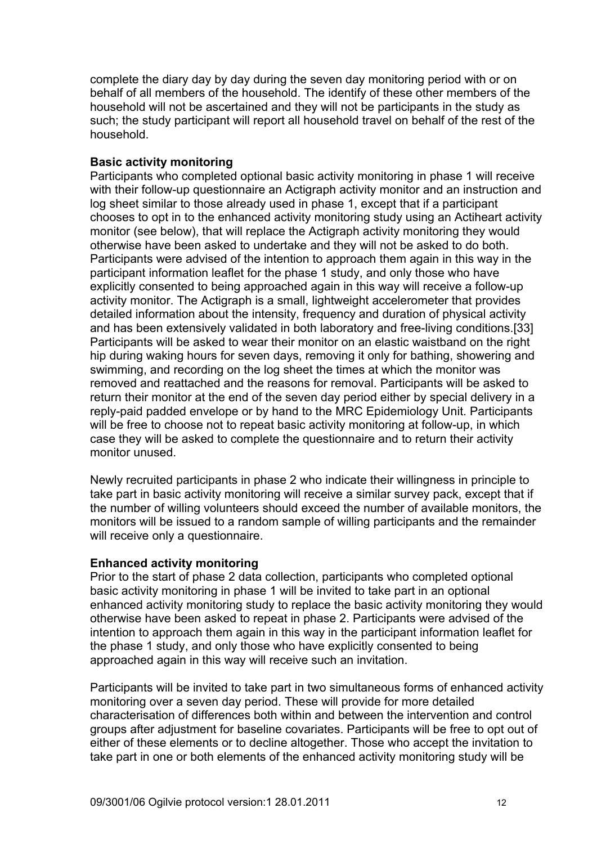complete the diary day by day during the seven day monitoring period with or on behalf of all members of the household. The identify of these other members of the household will not be ascertained and they will not be participants in the study as such; the study participant will report all household travel on behalf of the rest of the household.

### **Basic activity monitoring**

Participants who completed optional basic activity monitoring in phase 1 will receive with their follow-up questionnaire an Actigraph activity monitor and an instruction and log sheet similar to those already used in phase 1, except that if a participant chooses to opt in to the enhanced activity monitoring study using an Actiheart activity monitor (see below), that will replace the Actigraph activity monitoring they would otherwise have been asked to undertake and they will not be asked to do both. Participants were advised of the intention to approach them again in this way in the participant information leaflet for the phase 1 study, and only those who have explicitly consented to being approached again in this way will receive a follow-up activity monitor. The Actigraph is a small, lightweight accelerometer that provides detailed information about the intensity, frequency and duration of physical activity and has been extensively validated in both laboratory and free-living conditions.[33] Participants will be asked to wear their monitor on an elastic waistband on the right hip during waking hours for seven days, removing it only for bathing, showering and swimming, and recording on the log sheet the times at which the monitor was removed and reattached and the reasons for removal. Participants will be asked to return their monitor at the end of the seven day period either by special delivery in a reply-paid padded envelope or by hand to the MRC Epidemiology Unit. Participants will be free to choose not to repeat basic activity monitoring at follow-up, in which case they will be asked to complete the questionnaire and to return their activity monitor unused.

Newly recruited participants in phase 2 who indicate their willingness in principle to take part in basic activity monitoring will receive a similar survey pack, except that if the number of willing volunteers should exceed the number of available monitors, the monitors will be issued to a random sample of willing participants and the remainder will receive only a questionnaire.

### **Enhanced activity monitoring**

Prior to the start of phase 2 data collection, participants who completed optional basic activity monitoring in phase 1 will be invited to take part in an optional enhanced activity monitoring study to replace the basic activity monitoring they would otherwise have been asked to repeat in phase 2. Participants were advised of the intention to approach them again in this way in the participant information leaflet for the phase 1 study, and only those who have explicitly consented to being approached again in this way will receive such an invitation.

Participants will be invited to take part in two simultaneous forms of enhanced activity monitoring over a seven day period. These will provide for more detailed characterisation of differences both within and between the intervention and control groups after adjustment for baseline covariates. Participants will be free to opt out of either of these elements or to decline altogether. Those who accept the invitation to take part in one or both elements of the enhanced activity monitoring study will be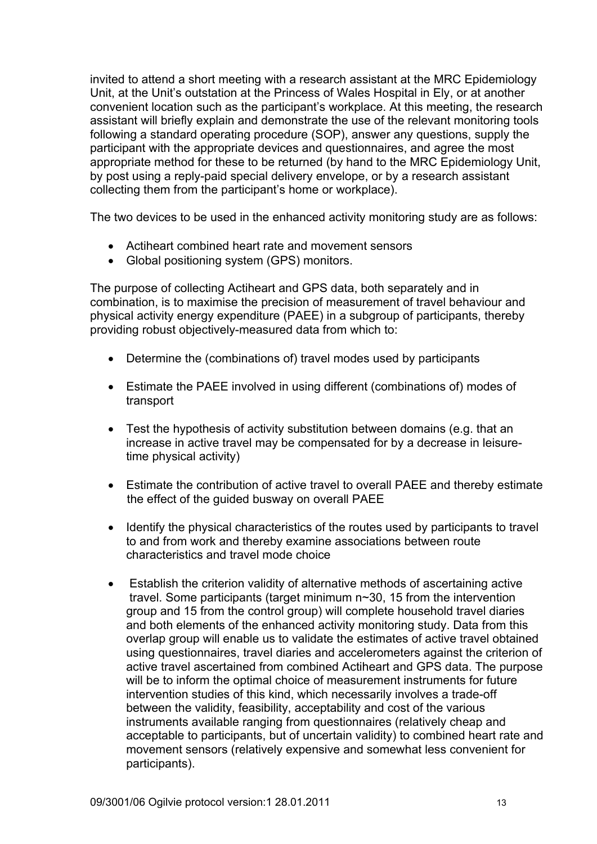invited to attend a short meeting with a research assistant at the MRC Epidemiology Unit, at the Unit's outstation at the Princess of Wales Hospital in Ely, or at another convenient location such as the participant's workplace. At this meeting, the research assistant will briefly explain and demonstrate the use of the relevant monitoring tools following a standard operating procedure (SOP), answer any questions, supply the participant with the appropriate devices and questionnaires, and agree the most appropriate method for these to be returned (by hand to the MRC Epidemiology Unit, by post using a reply-paid special delivery envelope, or by a research assistant collecting them from the participant's home or workplace).

The two devices to be used in the enhanced activity monitoring study are as follows:

- Actiheart combined heart rate and movement sensors
- Global positioning system (GPS) monitors.

The purpose of collecting Actiheart and GPS data, both separately and in combination, is to maximise the precision of measurement of travel behaviour and physical activity energy expenditure (PAEE) in a subgroup of participants, thereby providing robust objectively-measured data from which to:

- Determine the (combinations of) travel modes used by participants
- Estimate the PAEE involved in using different (combinations of) modes of transport
- Test the hypothesis of activity substitution between domains (e.g. that an increase in active travel may be compensated for by a decrease in leisuretime physical activity)
- Estimate the contribution of active travel to overall PAEE and thereby estimate the effect of the guided busway on overall PAEE
- Identify the physical characteristics of the routes used by participants to travel to and from work and thereby examine associations between route characteristics and travel mode choice
- Establish the criterion validity of alternative methods of ascertaining active travel. Some participants (target minimum n~30, 15 from the intervention group and 15 from the control group) will complete household travel diaries and both elements of the enhanced activity monitoring study. Data from this overlap group will enable us to validate the estimates of active travel obtained using questionnaires, travel diaries and accelerometers against the criterion of active travel ascertained from combined Actiheart and GPS data. The purpose will be to inform the optimal choice of measurement instruments for future intervention studies of this kind, which necessarily involves a trade-off between the validity, feasibility, acceptability and cost of the various instruments available ranging from questionnaires (relatively cheap and acceptable to participants, but of uncertain validity) to combined heart rate and movement sensors (relatively expensive and somewhat less convenient for participants).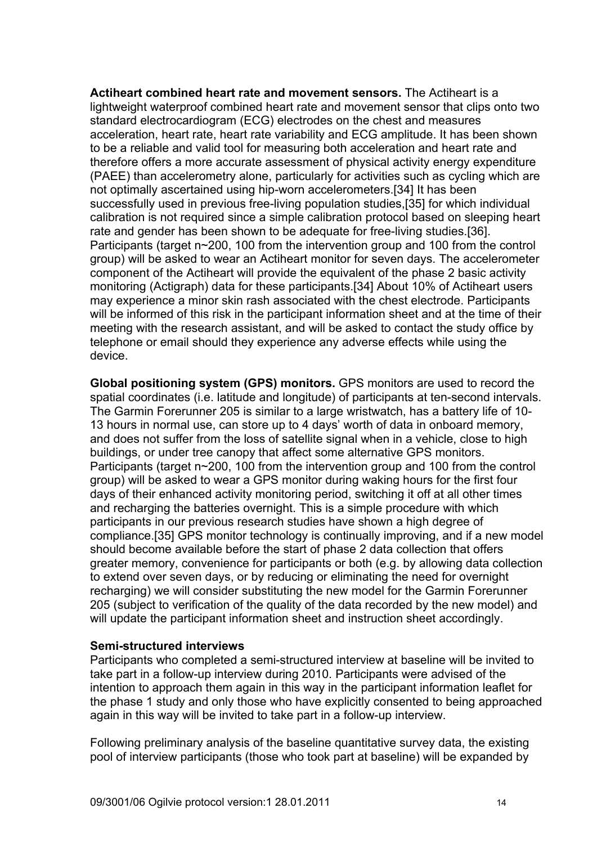**Actiheart combined heart rate and movement sensors.** The Actiheart is a lightweight waterproof combined heart rate and movement sensor that clips onto two standard electrocardiogram (ECG) electrodes on the chest and measures acceleration, heart rate, heart rate variability and ECG amplitude. It has been shown to be a reliable and valid tool for measuring both acceleration and heart rate and therefore offers a more accurate assessment of physical activity energy expenditure (PAEE) than accelerometry alone, particularly for activities such as cycling which are not optimally ascertained using hip-worn accelerometers.[34] It has been successfully used in previous free-living population studies,[35] for which individual calibration is not required since a simple calibration protocol based on sleeping heart rate and gender has been shown to be adequate for free-living studies.[36]. Participants (target n~200, 100 from the intervention group and 100 from the control group) will be asked to wear an Actiheart monitor for seven days. The accelerometer component of the Actiheart will provide the equivalent of the phase 2 basic activity monitoring (Actigraph) data for these participants.[34] About 10% of Actiheart users may experience a minor skin rash associated with the chest electrode. Participants will be informed of this risk in the participant information sheet and at the time of their meeting with the research assistant, and will be asked to contact the study office by telephone or email should they experience any adverse effects while using the device.

**Global positioning system (GPS) monitors.** GPS monitors are used to record the spatial coordinates (i.e. latitude and longitude) of participants at ten-second intervals. The Garmin Forerunner 205 is similar to a large wristwatch, has a battery life of 10- 13 hours in normal use, can store up to 4 days' worth of data in onboard memory, and does not suffer from the loss of satellite signal when in a vehicle, close to high buildings, or under tree canopy that affect some alternative GPS monitors. Participants (target n~200, 100 from the intervention group and 100 from the control group) will be asked to wear a GPS monitor during waking hours for the first four days of their enhanced activity monitoring period, switching it off at all other times and recharging the batteries overnight. This is a simple procedure with which participants in our previous research studies have shown a high degree of compliance.[35] GPS monitor technology is continually improving, and if a new model should become available before the start of phase 2 data collection that offers greater memory, convenience for participants or both (e.g. by allowing data collection to extend over seven days, or by reducing or eliminating the need for overnight recharging) we will consider substituting the new model for the Garmin Forerunner 205 (subject to verification of the quality of the data recorded by the new model) and will update the participant information sheet and instruction sheet accordingly.

#### **Semi-structured interviews**

Participants who completed a semi-structured interview at baseline will be invited to take part in a follow-up interview during 2010. Participants were advised of the intention to approach them again in this way in the participant information leaflet for the phase 1 study and only those who have explicitly consented to being approached again in this way will be invited to take part in a follow-up interview.

Following preliminary analysis of the baseline quantitative survey data, the existing pool of interview participants (those who took part at baseline) will be expanded by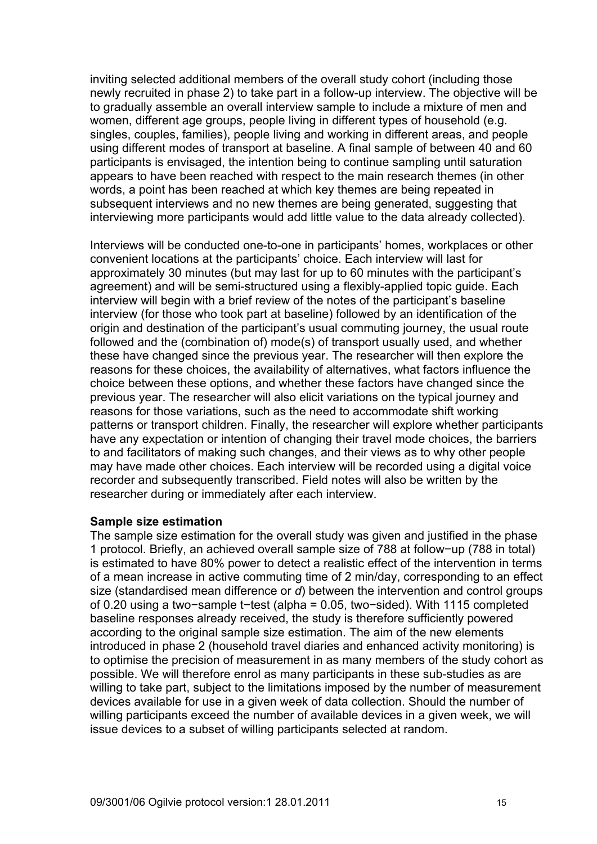inviting selected additional members of the overall study cohort (including those newly recruited in phase 2) to take part in a follow-up interview. The objective will be to gradually assemble an overall interview sample to include a mixture of men and women, different age groups, people living in different types of household (e.g. singles, couples, families), people living and working in different areas, and people using different modes of transport at baseline. A final sample of between 40 and 60 participants is envisaged, the intention being to continue sampling until saturation appears to have been reached with respect to the main research themes (in other words, a point has been reached at which key themes are being repeated in subsequent interviews and no new themes are being generated, suggesting that interviewing more participants would add little value to the data already collected).

Interviews will be conducted one-to-one in participants' homes, workplaces or other convenient locations at the participants' choice. Each interview will last for approximately 30 minutes (but may last for up to 60 minutes with the participant's agreement) and will be semi-structured using a flexibly-applied topic guide. Each interview will begin with a brief review of the notes of the participant's baseline interview (for those who took part at baseline) followed by an identification of the origin and destination of the participant's usual commuting journey, the usual route followed and the (combination of) mode(s) of transport usually used, and whether these have changed since the previous year. The researcher will then explore the reasons for these choices, the availability of alternatives, what factors influence the choice between these options, and whether these factors have changed since the previous year. The researcher will also elicit variations on the typical journey and reasons for those variations, such as the need to accommodate shift working patterns or transport children. Finally, the researcher will explore whether participants have any expectation or intention of changing their travel mode choices, the barriers to and facilitators of making such changes, and their views as to why other people may have made other choices. Each interview will be recorded using a digital voice recorder and subsequently transcribed. Field notes will also be written by the researcher during or immediately after each interview.

#### **Sample size estimation**

The sample size estimation for the overall study was given and justified in the phase 1 protocol. Briefly, an achieved overall sample size of 788 at follow−up (788 in total) is estimated to have 80% power to detect a realistic effect of the intervention in terms of a mean increase in active commuting time of 2 min/day, corresponding to an effect size (standardised mean difference or *d*) between the intervention and control groups of 0.20 using a two−sample t−test (alpha = 0.05, two−sided). With 1115 completed baseline responses already received, the study is therefore sufficiently powered according to the original sample size estimation. The aim of the new elements introduced in phase 2 (household travel diaries and enhanced activity monitoring) is to optimise the precision of measurement in as many members of the study cohort as possible. We will therefore enrol as many participants in these sub-studies as are willing to take part, subject to the limitations imposed by the number of measurement devices available for use in a given week of data collection. Should the number of willing participants exceed the number of available devices in a given week, we will issue devices to a subset of willing participants selected at random.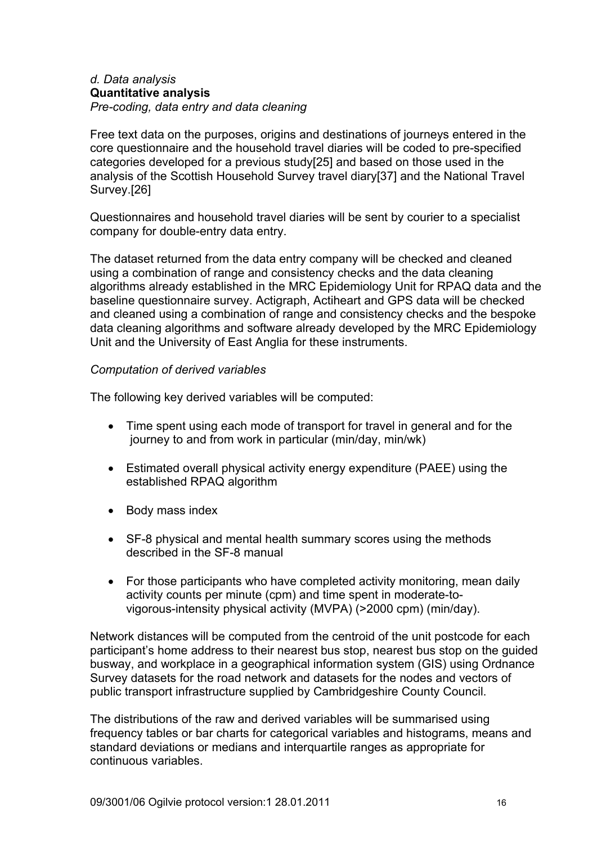#### *d. Data analysis* **Quantitative analysis**  *Pre-coding, data entry and data cleaning*

Free text data on the purposes, origins and destinations of journeys entered in the core questionnaire and the household travel diaries will be coded to pre-specified categories developed for a previous study[25] and based on those used in the analysis of the Scottish Household Survey travel diary[37] and the National Travel Survey.[26]

Questionnaires and household travel diaries will be sent by courier to a specialist company for double-entry data entry.

The dataset returned from the data entry company will be checked and cleaned using a combination of range and consistency checks and the data cleaning algorithms already established in the MRC Epidemiology Unit for RPAQ data and the baseline questionnaire survey. Actigraph, Actiheart and GPS data will be checked and cleaned using a combination of range and consistency checks and the bespoke data cleaning algorithms and software already developed by the MRC Epidemiology Unit and the University of East Anglia for these instruments.

#### *Computation of derived variables*

The following key derived variables will be computed:

- Time spent using each mode of transport for travel in general and for the journey to and from work in particular (min/day, min/wk)
- Estimated overall physical activity energy expenditure (PAEE) using the established RPAQ algorithm
- Body mass index
- SF-8 physical and mental health summary scores using the methods described in the SF-8 manual
- For those participants who have completed activity monitoring, mean daily activity counts per minute (cpm) and time spent in moderate-tovigorous-intensity physical activity (MVPA) (>2000 cpm) (min/day).

Network distances will be computed from the centroid of the unit postcode for each participant's home address to their nearest bus stop, nearest bus stop on the guided busway, and workplace in a geographical information system (GIS) using Ordnance Survey datasets for the road network and datasets for the nodes and vectors of public transport infrastructure supplied by Cambridgeshire County Council.

The distributions of the raw and derived variables will be summarised using frequency tables or bar charts for categorical variables and histograms, means and standard deviations or medians and interquartile ranges as appropriate for continuous variables.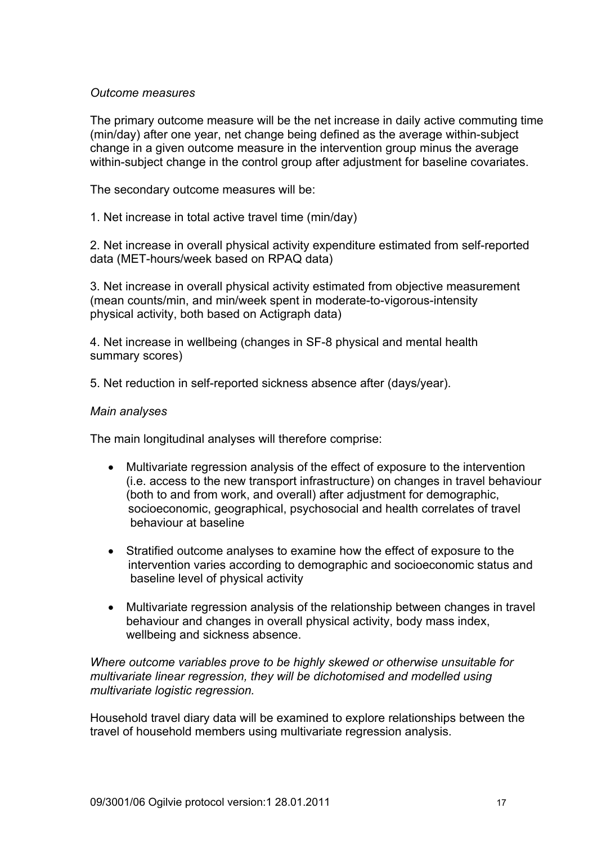#### *Outcome measures*

The primary outcome measure will be the net increase in daily active commuting time (min/day) after one year, net change being defined as the average within-subject change in a given outcome measure in the intervention group minus the average within-subject change in the control group after adjustment for baseline covariates.

The secondary outcome measures will be:

1. Net increase in total active travel time (min/day)

2. Net increase in overall physical activity expenditure estimated from self-reported data (MET-hours/week based on RPAQ data)

3. Net increase in overall physical activity estimated from objective measurement (mean counts/min, and min/week spent in moderate-to-vigorous-intensity physical activity, both based on Actigraph data)

4. Net increase in wellbeing (changes in SF-8 physical and mental health summary scores)

5. Net reduction in self-reported sickness absence after (days/year).

#### *Main analyses*

The main longitudinal analyses will therefore comprise:

- Multivariate regression analysis of the effect of exposure to the intervention (i.e. access to the new transport infrastructure) on changes in travel behaviour (both to and from work, and overall) after adjustment for demographic, socioeconomic, geographical, psychosocial and health correlates of travel behaviour at baseline
- Stratified outcome analyses to examine how the effect of exposure to the intervention varies according to demographic and socioeconomic status and baseline level of physical activity
- Multivariate regression analysis of the relationship between changes in travel behaviour and changes in overall physical activity, body mass index, wellbeing and sickness absence.

*Where outcome variables prove to be highly skewed or otherwise unsuitable for multivariate linear regression, they will be dichotomised and modelled using multivariate logistic regression.* 

Household travel diary data will be examined to explore relationships between the travel of household members using multivariate regression analysis.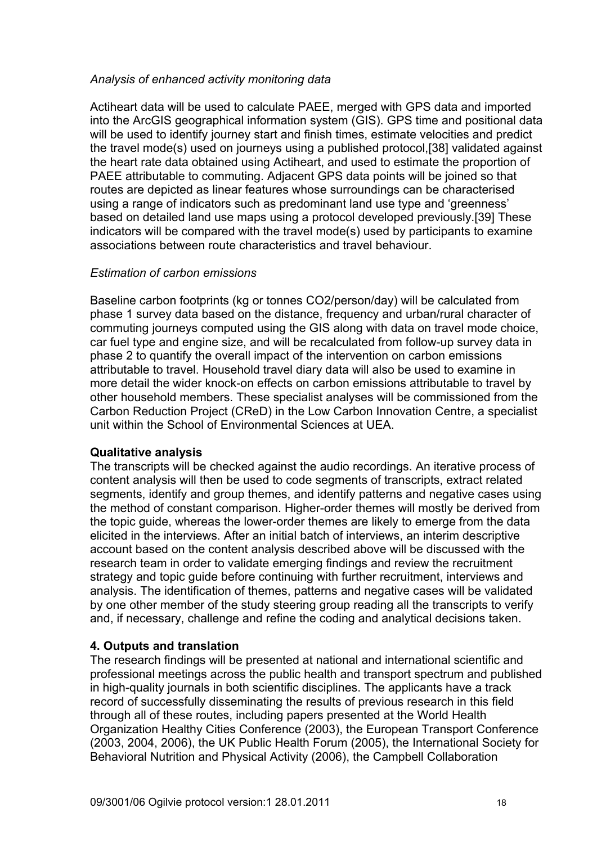### *Analysis of enhanced activity monitoring data*

Actiheart data will be used to calculate PAEE, merged with GPS data and imported into the ArcGIS geographical information system (GIS). GPS time and positional data will be used to identify journey start and finish times, estimate velocities and predict the travel mode(s) used on journeys using a published protocol,[38] validated against the heart rate data obtained using Actiheart, and used to estimate the proportion of PAEE attributable to commuting. Adjacent GPS data points will be joined so that routes are depicted as linear features whose surroundings can be characterised using a range of indicators such as predominant land use type and 'greenness' based on detailed land use maps using a protocol developed previously.[39] These indicators will be compared with the travel mode(s) used by participants to examine associations between route characteristics and travel behaviour.

### *Estimation of carbon emissions*

Baseline carbon footprints (kg or tonnes CO2/person/day) will be calculated from phase 1 survey data based on the distance, frequency and urban/rural character of commuting journeys computed using the GIS along with data on travel mode choice, car fuel type and engine size, and will be recalculated from follow-up survey data in phase 2 to quantify the overall impact of the intervention on carbon emissions attributable to travel. Household travel diary data will also be used to examine in more detail the wider knock-on effects on carbon emissions attributable to travel by other household members. These specialist analyses will be commissioned from the Carbon Reduction Project (CReD) in the Low Carbon Innovation Centre, a specialist unit within the School of Environmental Sciences at UEA.

# **Qualitative analysis**

The transcripts will be checked against the audio recordings. An iterative process of content analysis will then be used to code segments of transcripts, extract related segments, identify and group themes, and identify patterns and negative cases using the method of constant comparison. Higher-order themes will mostly be derived from the topic guide, whereas the lower-order themes are likely to emerge from the data elicited in the interviews. After an initial batch of interviews, an interim descriptive account based on the content analysis described above will be discussed with the research team in order to validate emerging findings and review the recruitment strategy and topic guide before continuing with further recruitment, interviews and analysis. The identification of themes, patterns and negative cases will be validated by one other member of the study steering group reading all the transcripts to verify and, if necessary, challenge and refine the coding and analytical decisions taken.

# **4. Outputs and translation**

The research findings will be presented at national and international scientific and professional meetings across the public health and transport spectrum and published in high-quality journals in both scientific disciplines. The applicants have a track record of successfully disseminating the results of previous research in this field through all of these routes, including papers presented at the World Health Organization Healthy Cities Conference (2003), the European Transport Conference (2003, 2004, 2006), the UK Public Health Forum (2005), the International Society for Behavioral Nutrition and Physical Activity (2006), the Campbell Collaboration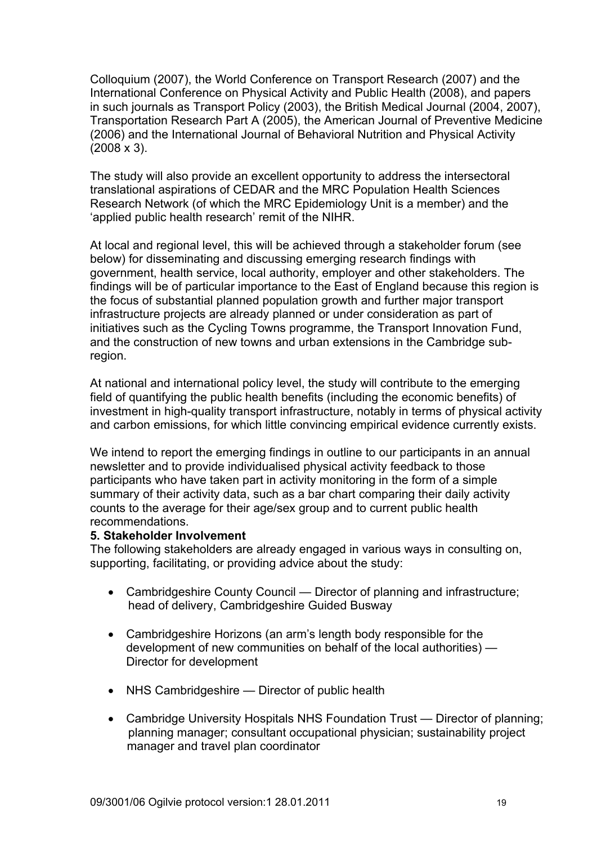Colloquium (2007), the World Conference on Transport Research (2007) and the International Conference on Physical Activity and Public Health (2008), and papers in such journals as Transport Policy (2003), the British Medical Journal (2004, 2007), Transportation Research Part A (2005), the American Journal of Preventive Medicine (2006) and the International Journal of Behavioral Nutrition and Physical Activity  $(2008 \times 3)$ .

The study will also provide an excellent opportunity to address the intersectoral translational aspirations of CEDAR and the MRC Population Health Sciences Research Network (of which the MRC Epidemiology Unit is a member) and the 'applied public health research' remit of the NIHR.

At local and regional level, this will be achieved through a stakeholder forum (see below) for disseminating and discussing emerging research findings with government, health service, local authority, employer and other stakeholders. The findings will be of particular importance to the East of England because this region is the focus of substantial planned population growth and further major transport infrastructure projects are already planned or under consideration as part of initiatives such as the Cycling Towns programme, the Transport Innovation Fund, and the construction of new towns and urban extensions in the Cambridge subregion.

At national and international policy level, the study will contribute to the emerging field of quantifying the public health benefits (including the economic benefits) of investment in high-quality transport infrastructure, notably in terms of physical activity and carbon emissions, for which little convincing empirical evidence currently exists.

We intend to report the emerging findings in outline to our participants in an annual newsletter and to provide individualised physical activity feedback to those participants who have taken part in activity monitoring in the form of a simple summary of their activity data, such as a bar chart comparing their daily activity counts to the average for their age/sex group and to current public health recommendations.

### **5. Stakeholder Involvement**

The following stakeholders are already engaged in various ways in consulting on, supporting, facilitating, or providing advice about the study:

- Cambridgeshire County Council Director of planning and infrastructure; head of delivery, Cambridgeshire Guided Busway
- Cambridgeshire Horizons (an arm's length body responsible for the development of new communities on behalf of the local authorities) — Director for development
- NHS Cambridgeshire Director of public health
- Cambridge University Hospitals NHS Foundation Trust Director of planning; planning manager; consultant occupational physician; sustainability project manager and travel plan coordinator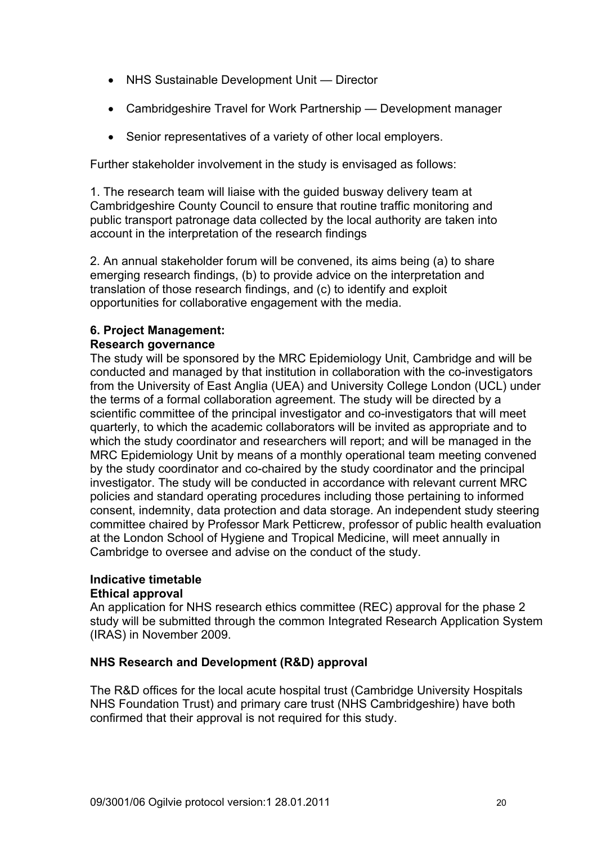- NHS Sustainable Development Unit Director
- Cambridgeshire Travel for Work Partnership Development manager
- Senior representatives of a variety of other local employers.

Further stakeholder involvement in the study is envisaged as follows:

1. The research team will liaise with the guided busway delivery team at Cambridgeshire County Council to ensure that routine traffic monitoring and public transport patronage data collected by the local authority are taken into account in the interpretation of the research findings

2. An annual stakeholder forum will be convened, its aims being (a) to share emerging research findings, (b) to provide advice on the interpretation and translation of those research findings, and (c) to identify and exploit opportunities for collaborative engagement with the media.

# **6. Project Management:**

## **Research governance**

The study will be sponsored by the MRC Epidemiology Unit, Cambridge and will be conducted and managed by that institution in collaboration with the co-investigators from the University of East Anglia (UEA) and University College London (UCL) under the terms of a formal collaboration agreement. The study will be directed by a scientific committee of the principal investigator and co-investigators that will meet quarterly, to which the academic collaborators will be invited as appropriate and to which the study coordinator and researchers will report; and will be managed in the MRC Epidemiology Unit by means of a monthly operational team meeting convened by the study coordinator and co-chaired by the study coordinator and the principal investigator. The study will be conducted in accordance with relevant current MRC policies and standard operating procedures including those pertaining to informed consent, indemnity, data protection and data storage. An independent study steering committee chaired by Professor Mark Petticrew, professor of public health evaluation at the London School of Hygiene and Tropical Medicine, will meet annually in Cambridge to oversee and advise on the conduct of the study.

#### **Indicative timetable Ethical approval**

An application for NHS research ethics committee (REC) approval for the phase 2 study will be submitted through the common Integrated Research Application System (IRAS) in November 2009.

# **NHS Research and Development (R&D) approval**

The R&D offices for the local acute hospital trust (Cambridge University Hospitals NHS Foundation Trust) and primary care trust (NHS Cambridgeshire) have both confirmed that their approval is not required for this study.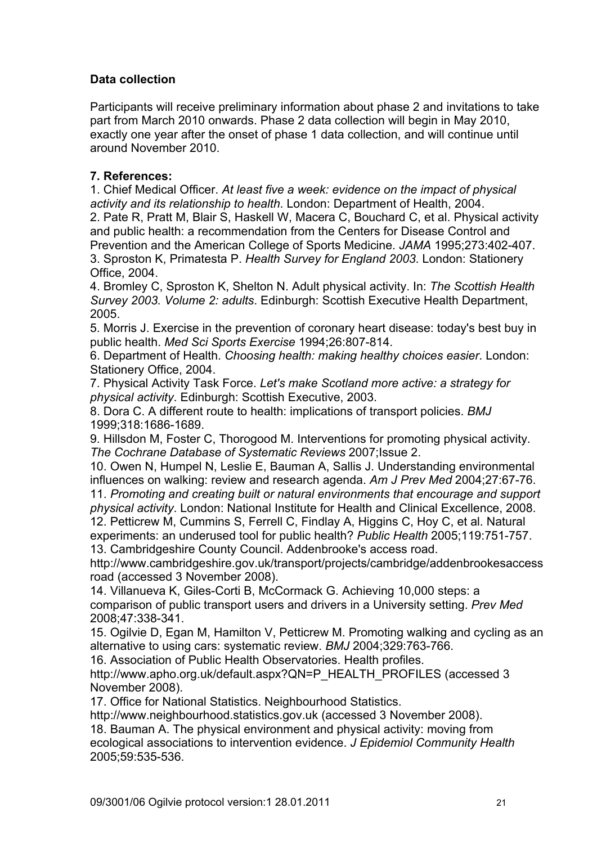# **Data collection**

Participants will receive preliminary information about phase 2 and invitations to take part from March 2010 onwards. Phase 2 data collection will begin in May 2010, exactly one year after the onset of phase 1 data collection, and will continue until around November 2010.

# **7. References:**

1. Chief Medical Officer. *At least five a week: evidence on the impact of physical activity and its relationship to health*. London: Department of Health, 2004.

2. Pate R, Pratt M, Blair S, Haskell W, Macera C, Bouchard C, et al. Physical activity and public health: a recommendation from the Centers for Disease Control and Prevention and the American College of Sports Medicine. *JAMA* 1995;273:402-407. 3. Sproston K, Primatesta P. *Health Survey for England 2003*. London: Stationery Office, 2004.

4. Bromley C, Sproston K, Shelton N. Adult physical activity. In: *The Scottish Health Survey 2003. Volume 2: adults*. Edinburgh: Scottish Executive Health Department, 2005.

5. Morris J. Exercise in the prevention of coronary heart disease: today's best buy in public health. *Med Sci Sports Exercise* 1994;26:807-814.

6. Department of Health. *Choosing health: making healthy choices easier*. London: Stationery Office, 2004.

7. Physical Activity Task Force. *Let's make Scotland more active: a strategy for physical activity*. Edinburgh: Scottish Executive, 2003.

8. Dora C. A different route to health: implications of transport policies. *BMJ*  1999;318:1686-1689.

9. Hillsdon M, Foster C, Thorogood M. Interventions for promoting physical activity. *The Cochrane Database of Systematic Reviews* 2007;Issue 2.

10. Owen N, Humpel N, Leslie E, Bauman A, Sallis J. Understanding environmental influences on walking: review and research agenda. *Am J Prev Med* 2004;27:67-76.

11. *Promoting and creating built or natural environments that encourage and support physical activity*. London: National Institute for Health and Clinical Excellence, 2008.

12. Petticrew M, Cummins S, Ferrell C, Findlay A, Higgins C, Hoy C, et al. Natural experiments: an underused tool for public health? *Public Health* 2005;119:751-757. 13. Cambridgeshire County Council. Addenbrooke's access road.

http://www.cambridgeshire.gov.uk/transport/projects/cambridge/addenbrookesaccess road (accessed 3 November 2008).

14. Villanueva K, Giles-Corti B, McCormack G. Achieving 10,000 steps: a comparison of public transport users and drivers in a University setting. *Prev Med*  2008;47:338-341.

15. Ogilvie D, Egan M, Hamilton V, Petticrew M. Promoting walking and cycling as an alternative to using cars: systematic review. *BMJ* 2004;329:763-766.

16. Association of Public Health Observatories. Health profiles.

http://www.apho.org.uk/default.aspx?QN=P\_HEALTH\_PROFILES (accessed 3 November 2008).

17. Office for National Statistics. Neighbourhood Statistics.

http://www.neighbourhood.statistics.gov.uk (accessed 3 November 2008).

18. Bauman A. The physical environment and physical activity: moving from ecological associations to intervention evidence. *J Epidemiol Community Health*  2005;59:535-536.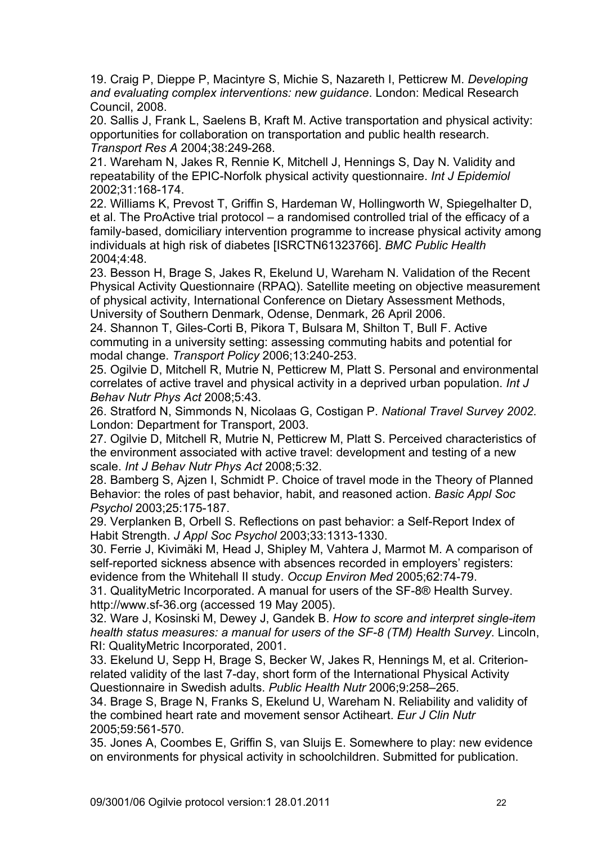19. Craig P, Dieppe P, Macintyre S, Michie S, Nazareth I, Petticrew M. *Developing and evaluating complex interventions: new guidance*. London: Medical Research Council, 2008.

20. Sallis J, Frank L, Saelens B, Kraft M. Active transportation and physical activity: opportunities for collaboration on transportation and public health research. *Transport Res A* 2004;38:249-268.

21. Wareham N, Jakes R, Rennie K, Mitchell J, Hennings S, Day N. Validity and repeatability of the EPIC-Norfolk physical activity questionnaire. *Int J Epidemiol*  2002;31:168-174.

22. Williams K, Prevost T, Griffin S, Hardeman W, Hollingworth W, Spiegelhalter D, et al. The ProActive trial protocol – a randomised controlled trial of the efficacy of a family-based, domiciliary intervention programme to increase physical activity among individuals at high risk of diabetes [ISRCTN61323766]. *BMC Public Health*  2004;4:48.

23. Besson H, Brage S, Jakes R, Ekelund U, Wareham N. Validation of the Recent Physical Activity Questionnaire (RPAQ). Satellite meeting on objective measurement of physical activity, International Conference on Dietary Assessment Methods, University of Southern Denmark, Odense, Denmark, 26 April 2006.

24. Shannon T, Giles-Corti B, Pikora T, Bulsara M, Shilton T, Bull F. Active commuting in a university setting: assessing commuting habits and potential for modal change. *Transport Policy* 2006;13:240-253.

25. Ogilvie D, Mitchell R, Mutrie N, Petticrew M, Platt S. Personal and environmental correlates of active travel and physical activity in a deprived urban population. *Int J Behav Nutr Phys Act* 2008;5:43.

26. Stratford N, Simmonds N, Nicolaas G, Costigan P. *National Travel Survey 2002*. London: Department for Transport, 2003.

27. Ogilvie D, Mitchell R, Mutrie N, Petticrew M, Platt S. Perceived characteristics of the environment associated with active travel: development and testing of a new scale. *Int J Behav Nutr Phys Act* 2008;5:32.

28. Bamberg S, Ajzen I, Schmidt P. Choice of travel mode in the Theory of Planned Behavior: the roles of past behavior, habit, and reasoned action. *Basic Appl Soc Psychol* 2003;25:175-187.

29. Verplanken B, Orbell S. Reflections on past behavior: a Self-Report Index of Habit Strength. *J Appl Soc Psychol* 2003;33:1313-1330.

30. Ferrie J, Kivimäki M, Head J, Shipley M, Vahtera J, Marmot M. A comparison of self-reported sickness absence with absences recorded in employers' registers: evidence from the Whitehall II study. *Occup Environ Med* 2005;62:74-79.

31. QualityMetric Incorporated. A manual for users of the SF-8® Health Survey. http://www.sf-36.org (accessed 19 May 2005).

32. Ware J, Kosinski M, Dewey J, Gandek B. *How to score and interpret single-item health status measures: a manual for users of the SF-8 (TM) Health Survey*. Lincoln, RI: QualityMetric Incorporated, 2001.

33. Ekelund U, Sepp H, Brage S, Becker W, Jakes R, Hennings M, et al. Criterionrelated validity of the last 7-day, short form of the International Physical Activity Questionnaire in Swedish adults. *Public Health Nutr* 2006;9:258–265.

34. Brage S, Brage N, Franks S, Ekelund U, Wareham N. Reliability and validity of the combined heart rate and movement sensor Actiheart. *Eur J Clin Nutr*  2005;59:561-570.

35. Jones A, Coombes E, Griffin S, van Sluijs E. Somewhere to play: new evidence on environments for physical activity in schoolchildren. Submitted for publication.